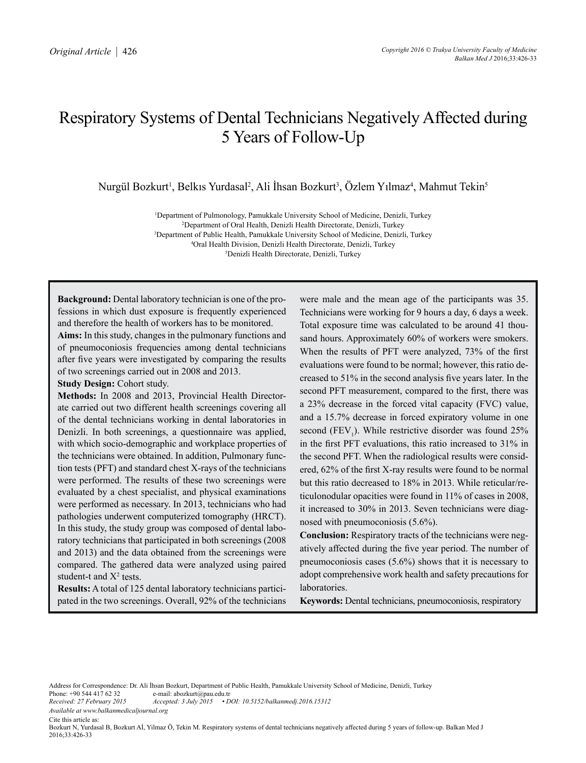# Respiratory Systems of Dental Technicians Negatively Affected during 5 Years of Follow-Up

Nurgül Bozkurt<sup>ı</sup>, Belkıs Yurdasal<sup>2</sup>, Ali İhsan Bozkurt<sup>3</sup>, Özlem Yılmaz<sup>4</sup>, Mahmut Tekin<sup>s</sup>

 Department of Pulmonology, Pamukkale University School of Medicine, Denizli, Turkey Department of Oral Health, Denizli Health Directorate, Denizli, Turkey Department of Public Health, Pamukkale University School of Medicine, Denizli, Turkey Oral Health Division, Denizli Health Directorate, Denizli, Turkey Denizli Health Directorate, Denizli, Turkey

**Background:** Dental laboratory technician is one of the professions in which dust exposure is frequently experienced and therefore the health of workers has to be monitored.

**Aims:** In this study, changes in the pulmonary functions and of pneumoconiosis frequencies among dental technicians after five years were investigated by comparing the results of two screenings carried out in 2008 and 2013.

**Study Design:** Cohort study.

**Methods:** In 2008 and 2013, Provincial Health Directorate carried out two different health screenings covering all of the dental technicians working in dental laboratories in Denizli. In both screenings, a questionnaire was applied, with which socio-demographic and workplace properties of the technicians were obtained. In addition, Pulmonary function tests (PFT) and standard chest X-rays of the technicians were performed. The results of these two screenings were evaluated by a chest specialist, and physical examinations were performed as necessary. In 2013, technicians who had pathologies underwent computerized tomography (HRCT). In this study, the study group was composed of dental laboratory technicians that participated in both screenings (2008 and 2013) and the data obtained from the screenings were compared. The gathered data were analyzed using paired student-t and  $X^2$  tests.

**Results:** A total of 125 dental laboratory technicians participated in the two screenings. Overall, 92% of the technicians

were male and the mean age of the participants was 35. Technicians were working for 9 hours a day, 6 days a week. Total exposure time was calculated to be around 41 thousand hours. Approximately 60% of workers were smokers. When the results of PFT were analyzed, 73% of the first evaluations were found to be normal; however, this ratio decreased to 51% in the second analysis five years later. In the second PFT measurement, compared to the first, there was a 23% decrease in the forced vital capacity (FVC) value, and a 15.7% decrease in forced expiratory volume in one second  $(FEV_1)$ . While restrictive disorder was found 25% in the first PFT evaluations, this ratio increased to 31% in the second PFT. When the radiological results were considered, 62% of the first X-ray results were found to be normal but this ratio decreased to 18% in 2013. While reticular/reticulonodular opacities were found in 11% of cases in 2008, it increased to 30% in 2013. Seven technicians were diagnosed with pneumoconiosis (5.6%).

**Conclusion:** Respiratory tracts of the technicians were negatively affected during the five year period. The number of pneumoconiosis cases (5.6%) shows that it is necessary to adopt comprehensive work health and safety precautions for laboratories.

**Keywords:** Dental technicians, pneumoconiosis, respiratory

Address for Correspondence: Dr. Ali İhsan Bozkurt, Department of Public Health, Pamukkale University School of Medicine, Denizli, Turkey<br>Phone: +90 544 417 62 32 e-mail: abozkurt@pau.edu.tr Phone: +90 544 417 62 32 e-mail: abozkurt@pau.edu.tr<br>Received: 27 February 2015 Accepted: 3 July 2015 • D

*Received: 27 February 2015 Accepted: 3 July 2015 • DOI: 10.5152/balkanmedj.2016.15312 Available at www.balkanmedicaljournal.org*

Cite this article as:

Bozkurt N, Yurdasal B, Bozkurt Aİ, Yilmaz Ö, Tekin M. Respiratory systems of dental technicians negatively affected during 5 years of follow-up. Balkan Med J 2016;33:426-33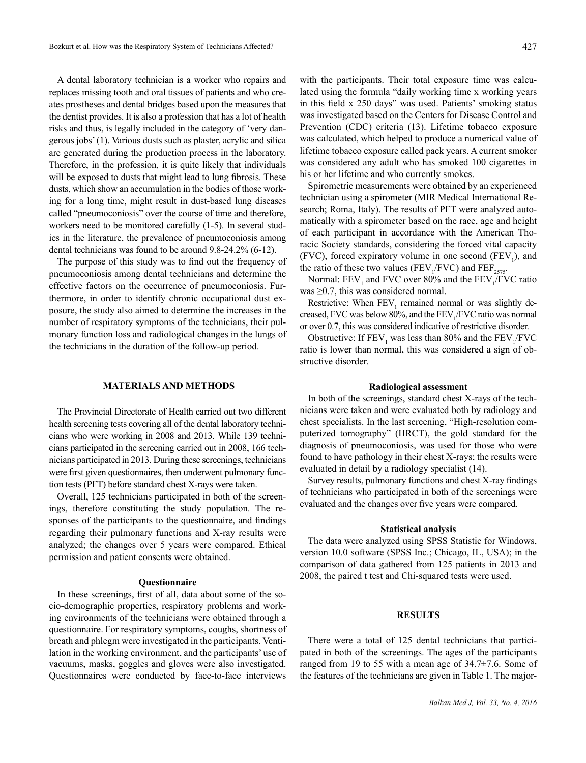A dental laboratory technician is a worker who repairs and replaces missing tooth and oral tissues of patients and who creates prostheses and dental bridges based upon the measures that the dentist provides. It is also a profession that has a lot of health risks and thus, is legally included in the category of 'very dangerous jobs' (1). Various dusts such as plaster, acrylic and silica are generated during the production process in the laboratory. Therefore, in the profession, it is quite likely that individuals will be exposed to dusts that might lead to lung fibrosis. These dusts, which show an accumulation in the bodies of those working for a long time, might result in dust-based lung diseases called "pneumoconiosis" over the course of time and therefore, workers need to be monitored carefully (1-5). In several studies in the literature, the prevalence of pneumoconiosis among dental technicians was found to be around 9.8-24.2% (6-12).

The purpose of this study was to find out the frequency of pneumoconiosis among dental technicians and determine the effective factors on the occurrence of pneumoconiosis. Furthermore, in order to identify chronic occupational dust exposure, the study also aimed to determine the increases in the number of respiratory symptoms of the technicians, their pulmonary function loss and radiological changes in the lungs of the technicians in the duration of the follow-up period.

## **MATERIALS AND METHODS**

The Provincial Directorate of Health carried out two different health screening tests covering all of the dental laboratory technicians who were working in 2008 and 2013. While 139 technicians participated in the screening carried out in 2008, 166 technicians participated in 2013. During these screenings, technicians were first given questionnaires, then underwent pulmonary function tests (PFT) before standard chest X-rays were taken.

Overall, 125 technicians participated in both of the screenings, therefore constituting the study population. The responses of the participants to the questionnaire, and findings regarding their pulmonary functions and X-ray results were analyzed; the changes over 5 years were compared. Ethical permission and patient consents were obtained.

#### **Questionnaire**

In these screenings, first of all, data about some of the socio-demographic properties, respiratory problems and working environments of the technicians were obtained through a questionnaire. For respiratory symptoms, coughs, shortness of breath and phlegm were investigated in the participants. Ventilation in the working environment, and the participants' use of vacuums, masks, goggles and gloves were also investigated. Questionnaires were conducted by face-to-face interviews

with the participants. Their total exposure time was calculated using the formula "daily working time x working years in this field x 250 days" was used. Patients' smoking status was investigated based on the Centers for Disease Control and Prevention (CDC) criteria (13). Lifetime tobacco exposure was calculated, which helped to produce a numerical value of lifetime tobacco exposure called pack years. A current smoker was considered any adult who has smoked 100 cigarettes in his or her lifetime and who currently smokes.

Spirometric measurements were obtained by an experienced technician using a spirometer (MIR Medical International Research; Roma, Italy). The results of PFT were analyzed automatically with a spirometer based on the race, age and height of each participant in accordance with the American Thoracic Society standards, considering the forced vital capacity (FVC), forced expiratory volume in one second  $(FEV<sub>1</sub>)$ , and the ratio of these two values ( $FEV_1/FVC$ ) and  $FEF_{2575}$ .

Normal:  $FEV_1$  and FVC over 80% and the  $FEV_1/FVC$  ratio was  $\geq 0.7$ , this was considered normal.

Restrictive: When  $FEV<sub>1</sub>$  remained normal or was slightly decreased, FVC was below 80%, and the  $FEV_1/FVC$  ratio was normal or over 0.7, this was considered indicative of restrictive disorder.

Obstructive: If  $FEV_1$  was less than 80% and the  $FEV_1/FVC$ ratio is lower than normal, this was considered a sign of obstructive disorder.

## **Radiological assessment**

In both of the screenings, standard chest X-rays of the technicians were taken and were evaluated both by radiology and chest specialists. In the last screening, "High-resolution computerized tomography" (HRCT), the gold standard for the diagnosis of pneumoconiosis, was used for those who were found to have pathology in their chest X-rays; the results were evaluated in detail by a radiology specialist (14).

Survey results, pulmonary functions and chest X-ray findings of technicians who participated in both of the screenings were evaluated and the changes over five years were compared.

#### **Statistical analysis**

The data were analyzed using SPSS Statistic for Windows, version 10.0 software (SPSS Inc.; Chicago, IL, USA); in the comparison of data gathered from 125 patients in 2013 and 2008, the paired t test and Chi-squared tests were used.

# **RESULTS**

There were a total of 125 dental technicians that participated in both of the screenings. The ages of the participants ranged from 19 to 55 with a mean age of 34.7±7.6. Some of the features of the technicians are given in Table 1. The major-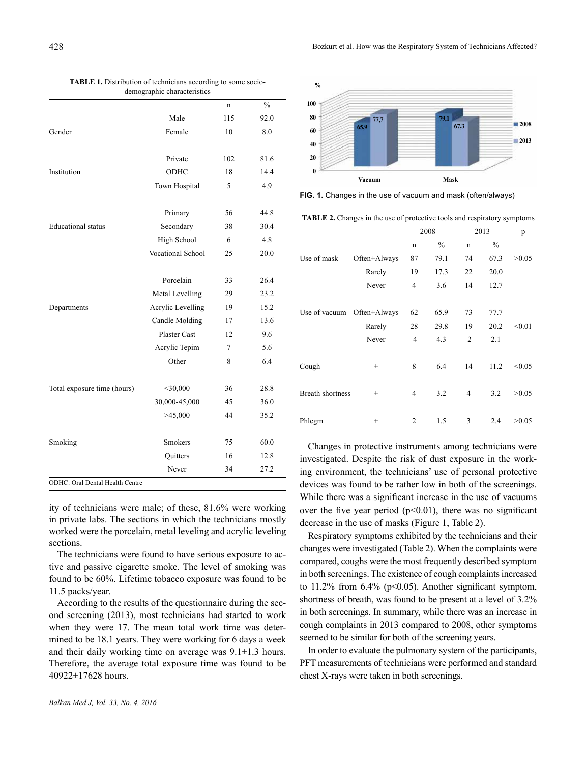|                                 | acmographic characteristics |     |               |
|---------------------------------|-----------------------------|-----|---------------|
|                                 |                             | n   | $\frac{0}{0}$ |
|                                 | Male                        | 115 | 92.0          |
| Gender                          | Female                      | 10  | 8.0           |
|                                 | Private                     | 102 | 81.6          |
| Institution                     | ODHC                        | 18  | 14.4          |
|                                 | Town Hospital               | 5   | 4.9           |
|                                 | Primary                     | 56  | 44.8          |
| <b>Educational</b> status       | Secondary                   | 38  | 30.4          |
|                                 | High School                 | 6   | 4.8           |
|                                 | Vocational School           | 25  | 20.0          |
|                                 | Porcelain                   | 33  | 26.4          |
|                                 | Metal Levelling             | 29  | 23.2          |
| Departments                     | Acrylic Levelling           | 19  | 15.2          |
|                                 | Candle Molding              | 17  | 13.6          |
|                                 | <b>Plaster Cast</b>         | 12  | 9.6           |
|                                 | Acrylic Tepim               | 7   | 5.6           |
|                                 | Other                       | 8   | 6.4           |
| Total exposure time (hours)     | $<$ 30,000                  | 36  | 28.8          |
|                                 | 30,000-45,000               | 45  | 36.0          |
|                                 | >45,000                     | 44  | 35.2          |
| Smoking                         | <b>Smokers</b>              | 75  | 60.0          |
|                                 | Quitters                    | 16  | 12.8          |
|                                 | Never                       | 34  | 27.2          |
| ODHC: Oral Dental Health Centre |                             |     |               |

| <b>TABLE 1.</b> Distribution of technicians according to some socio- |  |
|----------------------------------------------------------------------|--|
| demographic characteristics                                          |  |

ity of technicians were male; of these, 81.6% were working in private labs. The sections in which the technicians mostly worked were the porcelain, metal leveling and acrylic leveling sections.

The technicians were found to have serious exposure to active and passive cigarette smoke. The level of smoking was found to be 60%. Lifetime tobacco exposure was found to be 11.5 packs/year.

According to the results of the questionnaire during the second screening (2013), most technicians had started to work when they were 17. The mean total work time was determined to be 18.1 years. They were working for 6 days a week and their daily working time on average was  $9.1 \pm 1.3$  hours. Therefore, the average total exposure time was found to be 40922±17628 hours.



**FIG. 1.** Changes in the use of vacuum and mask (often/always)

**TABLE 2.** Changes in the use of protective tools and respiratory symptoms

|                         |              |                | 2008          |                | 2013          | p      |
|-------------------------|--------------|----------------|---------------|----------------|---------------|--------|
|                         |              | n              | $\frac{0}{0}$ | n              | $\frac{0}{0}$ |        |
| Use of mask             | Often+Always | 87             | 79.1          | 74             | 67.3          | >0.05  |
|                         | Rarely       | 19             | 17.3          | 22             | 20.0          |        |
|                         | Never        | 4              | 3.6           | 14             | 12.7          |        |
|                         |              |                |               |                |               |        |
| Use of vacuum           | Often+Always | 62             | 65.9          | 73             | 77.7          |        |
|                         | Rarely       | 28             | 29.8          | 19             | 20.2          | < 0.01 |
|                         | Never        | $\overline{4}$ | 4.3           | $\overline{2}$ | 2.1           |        |
|                         |              |                |               |                |               |        |
| Cough                   | $^{+}$       | 8              | 6.4           | 14             | 11.2          | < 0.05 |
| <b>Breath shortness</b> | $^{+}$       | 4              | 3.2           | $\overline{4}$ | 3.2           | >0.05  |
|                         |              |                |               |                |               |        |
| Phlegm                  | $^{+}$       | 2              | 1.5           | 3              | 2.4           | >0.05  |

Changes in protective instruments among technicians were investigated. Despite the risk of dust exposure in the working environment, the technicians' use of personal protective devices was found to be rather low in both of the screenings. While there was a significant increase in the use of vacuums over the five year period  $(p<0.01)$ , there was no significant decrease in the use of masks (Figure 1, Table 2).

Respiratory symptoms exhibited by the technicians and their changes were investigated (Table 2). When the complaints were compared, coughs were the most frequently described symptom in both screenings. The existence of cough complaints increased to  $11.2\%$  from 6.4% (p<0.05). Another significant symptom, shortness of breath, was found to be present at a level of 3.2% in both screenings. In summary, while there was an increase in cough complaints in 2013 compared to 2008, other symptoms seemed to be similar for both of the screening years.

In order to evaluate the pulmonary system of the participants, PFT measurements of technicians were performed and standard chest X-rays were taken in both screenings.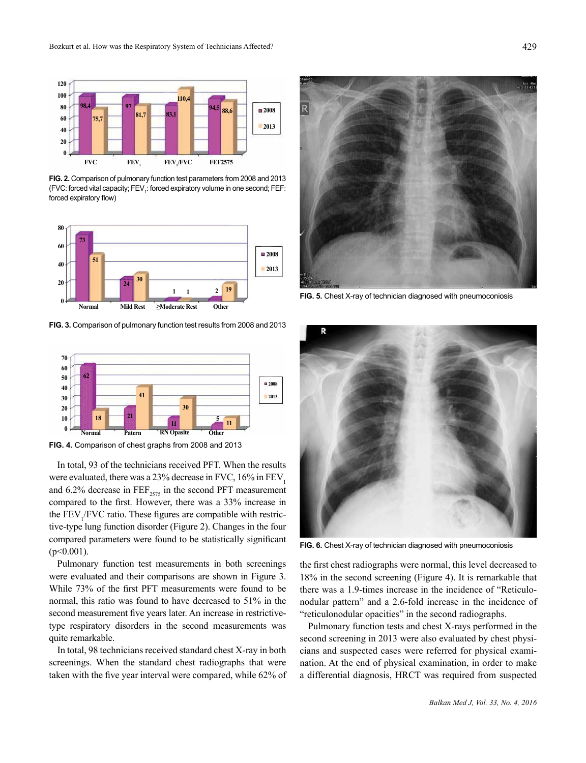

**FIG. 2.** Comparison of pulmonary function test parameters from 2008 and 2013 (FVC: forced vital capacity; FEV<sub>1</sub>: forced expiratory volume in one second; FEF: forced expiratory flow)



**FIG. 3.** Comparison of pulmonary function test results from 2008 and 2013



**FIG. 4.** Comparison of chest graphs from 2008 and 2013

In total, 93 of the technicians received PFT. When the results were evaluated, there was a  $23%$  decrease in FVC,  $16%$  in FEV. and 6.2% decrease in  $\text{FEF}_{2575}$  in the second PFT measurement compared to the first. However, there was a 33% increase in the  $FEV<sub>1</sub>/FVC$  ratio. These figures are compatible with restrictive-type lung function disorder (Figure 2). Changes in the four compared parameters were found to be statistically significant  $(p<0.001)$ .

Pulmonary function test measurements in both screenings were evaluated and their comparisons are shown in Figure 3. While 73% of the first PFT measurements were found to be normal, this ratio was found to have decreased to 51% in the second measurement five years later. An increase in restrictivetype respiratory disorders in the second measurements was quite remarkable.

In total, 98 technicians received standard chest X-ray in both screenings. When the standard chest radiographs that were taken with the five year interval were compared, while 62% of



**FIG. 5.** Chest X-ray of technician diagnosed with pneumoconiosis



**FIG. 6.** Chest X-ray of technician diagnosed with pneumoconiosis

the first chest radiographs were normal, this level decreased to 18% in the second screening (Figure 4). It is remarkable that there was a 1.9-times increase in the incidence of "Reticulonodular pattern" and a 2.6-fold increase in the incidence of "reticulonodular opacities" in the second radiographs.

Pulmonary function tests and chest X-rays performed in the second screening in 2013 were also evaluated by chest physicians and suspected cases were referred for physical examination. At the end of physical examination, in order to make a differential diagnosis, HRCT was required from suspected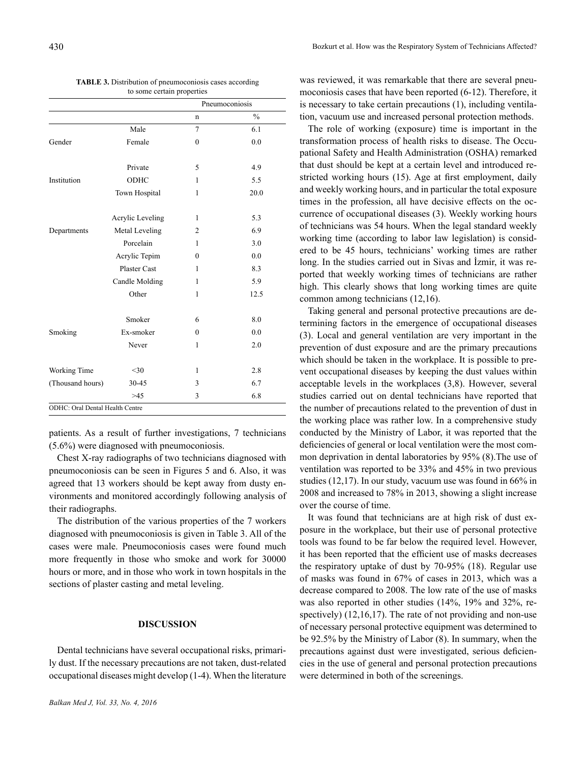|                  |                  |                | Pneumoconiosis |
|------------------|------------------|----------------|----------------|
|                  |                  | $\mathbf n$    | $\frac{0}{0}$  |
|                  | Male             | 7              | 6.1            |
| Gender           | Female           | $\theta$       | 0.0            |
|                  | Private          | 5              | 4.9            |
| Institution      | ODHC             | 1              | 5.5            |
|                  | Town Hospital    | 1              | 20.0           |
|                  | Acrylic Leveling | 1              | 5.3            |
| Departments      | Metal Leveling   | $\overline{2}$ | 6.9            |
|                  | Porcelain        | 1              | 3.0            |
|                  | Acrylic Tepim    | $\Omega$       | 0.0            |
|                  | Plaster Cast     | 1              | 8.3            |
|                  | Candle Molding   | 1              | 5.9            |
|                  | Other            | 1              | 12.5           |
|                  | Smoker           | 6              | 8.0            |
| Smoking          | Ex-smoker        | $\theta$       | 0.0            |
|                  | Never            | 1              | 2.0            |
| Working Time     | $30$             | 1              | 2.8            |
| (Thousand hours) | 30-45            | 3              | 6.7            |
|                  | >45              | 3              | 6.8            |

| <b>TABLE 3.</b> Distribution of pneumoconiosis cases according |
|----------------------------------------------------------------|
| to some certain properties                                     |

patients. As a result of further investigations, 7 technicians (5.6%) were diagnosed with pneumoconiosis.

Chest X-ray radiographs of two technicians diagnosed with pneumoconiosis can be seen in Figures 5 and 6. Also, it was agreed that 13 workers should be kept away from dusty environments and monitored accordingly following analysis of their radiographs.

The distribution of the various properties of the 7 workers diagnosed with pneumoconiosis is given in Table 3. All of the cases were male. Pneumoconiosis cases were found much more frequently in those who smoke and work for 30000 hours or more, and in those who work in town hospitals in the sections of plaster casting and metal leveling.

# **DISCUSSION**

Dental technicians have several occupational risks, primarily dust. If the necessary precautions are not taken, dust-related occupational diseases might develop (1-4). When the literature was reviewed, it was remarkable that there are several pneumoconiosis cases that have been reported (6-12). Therefore, it is necessary to take certain precautions (1), including ventilation, vacuum use and increased personal protection methods.

The role of working (exposure) time is important in the transformation process of health risks to disease. The Occupational Safety and Health Administration (OSHA) remarked that dust should be kept at a certain level and introduced restricted working hours (15). Age at first employment, daily and weekly working hours, and in particular the total exposure times in the profession, all have decisive effects on the occurrence of occupational diseases (3). Weekly working hours of technicians was 54 hours. When the legal standard weekly working time (according to labor law legislation) is considered to be 45 hours, technicians' working times are rather long. In the studies carried out in Sivas and İzmir, it was reported that weekly working times of technicians are rather high. This clearly shows that long working times are quite common among technicians (12,16).

Taking general and personal protective precautions are determining factors in the emergence of occupational diseases (3). Local and general ventilation are very important in the prevention of dust exposure and are the primary precautions which should be taken in the workplace. It is possible to prevent occupational diseases by keeping the dust values within acceptable levels in the workplaces (3,8). However, several studies carried out on dental technicians have reported that the number of precautions related to the prevention of dust in the working place was rather low. In a comprehensive study conducted by the Ministry of Labor, it was reported that the deficiencies of general or local ventilation were the most common deprivation in dental laboratories by 95% (8).The use of ventilation was reported to be 33% and 45% in two previous studies (12,17). In our study, vacuum use was found in 66% in 2008 and increased to 78% in 2013, showing a slight increase over the course of time.

It was found that technicians are at high risk of dust exposure in the workplace, but their use of personal protective tools was found to be far below the required level. However, it has been reported that the efficient use of masks decreases the respiratory uptake of dust by 70-95% (18). Regular use of masks was found in 67% of cases in 2013, which was a decrease compared to 2008. The low rate of the use of masks was also reported in other studies (14%, 19% and 32%, respectively) (12,16,17). The rate of not providing and non-use of necessary personal protective equipment was determined to be 92.5% by the Ministry of Labor (8). In summary, when the precautions against dust were investigated, serious deficiencies in the use of general and personal protection precautions were determined in both of the screenings.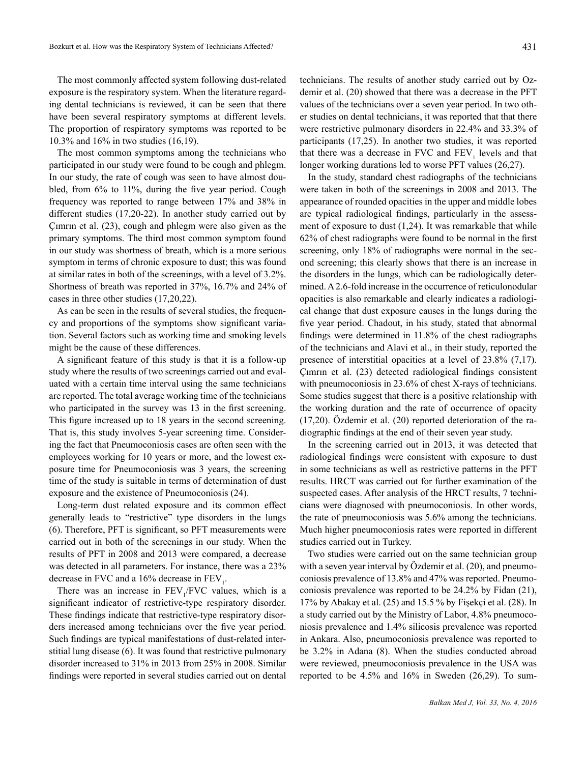The most commonly affected system following dust-related exposure is the respiratory system. When the literature regarding dental technicians is reviewed, it can be seen that there have been several respiratory symptoms at different levels. The proportion of respiratory symptoms was reported to be 10.3% and 16% in two studies (16,19).

The most common symptoms among the technicians who participated in our study were found to be cough and phlegm. In our study, the rate of cough was seen to have almost doubled, from 6% to 11%, during the five year period. Cough frequency was reported to range between 17% and 38% in different studies (17,20-22). In another study carried out by Çımrın et al. (23), cough and phlegm were also given as the primary symptoms. The third most common symptom found in our study was shortness of breath, which is a more serious symptom in terms of chronic exposure to dust; this was found at similar rates in both of the screenings, with a level of 3.2%. Shortness of breath was reported in 37%, 16.7% and 24% of cases in three other studies (17,20,22).

As can be seen in the results of several studies, the frequency and proportions of the symptoms show significant variation. Several factors such as working time and smoking levels might be the cause of these differences.

A significant feature of this study is that it is a follow-up study where the results of two screenings carried out and evaluated with a certain time interval using the same technicians are reported. The total average working time of the technicians who participated in the survey was 13 in the first screening. This figure increased up to 18 years in the second screening. That is, this study involves 5-year screening time. Considering the fact that Pneumoconiosis cases are often seen with the employees working for 10 years or more, and the lowest exposure time for Pneumoconiosis was 3 years, the screening time of the study is suitable in terms of determination of dust exposure and the existence of Pneumoconiosis (24).

Long-term dust related exposure and its common effect generally leads to "restrictive" type disorders in the lungs (6). Therefore, PFT is significant, so PFT measurements were carried out in both of the screenings in our study. When the results of PFT in 2008 and 2013 were compared, a decrease was detected in all parameters. For instance, there was a 23% decrease in FVC and a 16% decrease in  $FEV_1$ .

There was an increase in  $FEV_1/FVC$  values, which is a significant indicator of restrictive-type respiratory disorder. These findings indicate that restrictive-type respiratory disorders increased among technicians over the five year period. Such findings are typical manifestations of dust-related interstitial lung disease (6). It was found that restrictive pulmonary disorder increased to 31% in 2013 from 25% in 2008. Similar findings were reported in several studies carried out on dental

technicians. The results of another study carried out by Ozdemir et al. (20) showed that there was a decrease in the PFT values of the technicians over a seven year period. In two other studies on dental technicians, it was reported that that there were restrictive pulmonary disorders in 22.4% and 33.3% of participants (17,25). In another two studies, it was reported that there was a decrease in FVC and  $FEV<sub>1</sub>$  levels and that longer working durations led to worse PFT values (26,27).

In the study, standard chest radiographs of the technicians were taken in both of the screenings in 2008 and 2013. The appearance of rounded opacities in the upper and middle lobes are typical radiological findings, particularly in the assessment of exposure to dust (1,24). It was remarkable that while 62% of chest radiographs were found to be normal in the first screening, only 18% of radiographs were normal in the second screening; this clearly shows that there is an increase in the disorders in the lungs, which can be radiologically determined. A 2.6-fold increase in the occurrence of reticulonodular opacities is also remarkable and clearly indicates a radiological change that dust exposure causes in the lungs during the five year period. Chadout, in his study, stated that abnormal findings were determined in 11.8% of the chest radiographs of the technicians and Alavi et al., in their study, reported the presence of interstitial opacities at a level of 23.8% (7,17). Çımrın et al. (23) detected radiological findings consistent with pneumoconiosis in 23.6% of chest X-rays of technicians. Some studies suggest that there is a positive relationship with the working duration and the rate of occurrence of opacity (17,20). Özdemir et al. (20) reported deterioration of the radiographic findings at the end of their seven year study.

In the screening carried out in 2013, it was detected that radiological findings were consistent with exposure to dust in some technicians as well as restrictive patterns in the PFT results. HRCT was carried out for further examination of the suspected cases. After analysis of the HRCT results, 7 technicians were diagnosed with pneumoconiosis. In other words, the rate of pneumoconiosis was 5.6% among the technicians. Much higher pneumoconiosis rates were reported in different studies carried out in Turkey.

Two studies were carried out on the same technician group with a seven year interval by Özdemir et al. (20), and pneumoconiosis prevalence of 13.8% and 47% was reported. Pneumoconiosis prevalence was reported to be 24.2% by Fidan (21), 17% by Abakay et al. (25) and 15.5 % by Fişekçi et al. (28). In a study carried out by the Ministry of Labor, 4.8% pneumoconiosis prevalence and 1.4% silicosis prevalence was reported in Ankara. Also, pneumoconiosis prevalence was reported to be 3.2% in Adana (8). When the studies conducted abroad were reviewed, pneumoconiosis prevalence in the USA was reported to be 4.5% and 16% in Sweden (26,29). To sum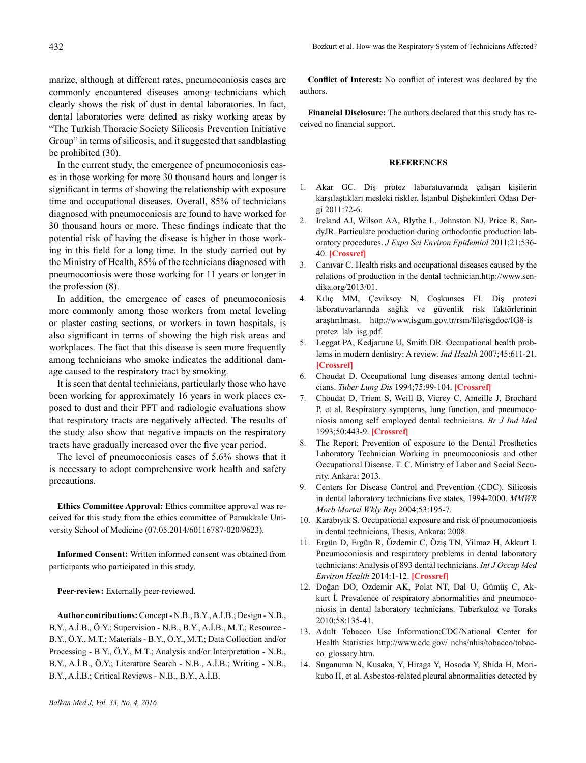marize, although at different rates, pneumoconiosis cases are commonly encountered diseases among technicians which clearly shows the risk of dust in dental laboratories. In fact, dental laboratories were defined as risky working areas by "The Turkish Thoracic Society Silicosis Prevention Initiative Group" in terms of silicosis, and it suggested that sandblasting be prohibited (30).

In the current study, the emergence of pneumoconiosis cases in those working for more 30 thousand hours and longer is significant in terms of showing the relationship with exposure time and occupational diseases. Overall, 85% of technicians diagnosed with pneumoconiosis are found to have worked for 30 thousand hours or more. These findings indicate that the potential risk of having the disease is higher in those working in this field for a long time. In the study carried out by the Ministry of Health, 85% of the technicians diagnosed with pneumoconiosis were those working for 11 years or longer in the profession (8).

In addition, the emergence of cases of pneumoconiosis more commonly among those workers from metal leveling or plaster casting sections, or workers in town hospitals, is also significant in terms of showing the high risk areas and workplaces. The fact that this disease is seen more frequently among technicians who smoke indicates the additional damage caused to the respiratory tract by smoking.

It is seen that dental technicians, particularly those who have been working for approximately 16 years in work places exposed to dust and their PFT and radiologic evaluations show that respiratory tracts are negatively affected. The results of the study also show that negative impacts on the respiratory tracts have gradually increased over the five year period.

The level of pneumoconiosis cases of 5.6% shows that it is necessary to adopt comprehensive work health and safety precautions.

**Ethics Committee Approval:** Ethics committee approval was received for this study from the ethics committee of Pamukkale University School of Medicine (07.05.2014/60116787-020/9623).

**Informed Consent:** Written informed consent was obtained from participants who participated in this study.

Peer-review: Externally peer-reviewed.

**Author contributions:** Concept - N.B., B.Y., A.İ.B.; Design - N.B., B.Y., A.İ.B., Ö.Y.; Supervision - N.B., B.Y., A.İ.B., M.T.; Resource - B.Y., Ö.Y., M.T.; Materials - B.Y., Ö.Y., M.T.; Data Collection and/or Processing - B.Y., Ö.Y., M.T.; Analysis and/or Interpretation - N.B., B.Y., A.İ.B., Ö.Y.; Literature Search - N.B., A.İ.B.; Writing - N.B., B.Y., A.İ.B.; Critical Reviews - N.B., B.Y., A.İ.B.

**Conflict of Interest:** No conflict of interest was declared by the authors.

**Financial Disclosure:** The authors declared that this study has received no financial support.

# **REFERENCES**

- 1. Akar GC. Diş protez laboratuvarında çalışan kişilerin karşılaştıkları mesleki riskler. İstanbul Dişhekimleri Odası Dergi 2011:72-6.
- 2. Ireland AJ, Wilson AA, Blythe L, Johnston NJ, Price R, SandyJR. Particulate production during orthodontic production laboratory procedures. *J Expo Sci Environ Epidemiol* 2011;21:536- 40. **[\[Crossref\]](http://dx.doi.org/10.1038/jes.2011.26)**
- 3. Canıvar C. Health risks and occupational diseases caused by the relations of production in the dental technician.http://www.sendika.org/2013/01.
- 4. Kılıç MM, Çeviksoy N, Coşkunses FI. Diş protezi laboratuvarlarında sağlık ve güvenlik risk faktörlerinin araştırılması. http://www.isgum.gov.tr/rsm/file/isgdoc/IG8-is\_ protez\_lab\_isg.pdf.
- 5. Leggat PA, Kedjarune U, Smith DR. Occupational health problems in modern dentistry: A review. *Ind Health* 2007;45:611-21. **[[Crossref](http://dx.doi.org/10.2486/indhealth.45.611)]**
- 6. Choudat D. Occupational lung diseases among dental technicians. *Tuber Lung Dis* 1994;75:99-104. **[[Crossref](http://dx.doi.org/10.1016/0962-8479(94)90037-X)]**
- 7. Choudat D, Triem S, Weill B, Vicrey C, Ameille J, Brochard P, et al. Respiratory symptoms, lung function, and pneumoconiosis among self employed dental technicians. *Br J Ind Med* 1993;50:443-9. **[\[Crossref\]](http://dx.doi.org/10.1136/oem.50.5.443)**
- 8. The Report; Prevention of exposure to the Dental Prosthetics Laboratory Technician Working in pneumoconiosis and other Occupational Disease. T. C. Ministry of Labor and Social Security. Ankara: 2013.
- 9. Centers for Disease Control and Prevention (CDC). Silicosis in dental laboratory technicians five states, 1994-2000. *MMWR Morb Mortal Wkly Rep* 2004;53:195-7.
- 10. Karabıyık S. Occupational exposure and risk of pneumoconiosis in dental technicians, Thesis, Ankara: 2008.
- 11. Ergün D, Ergün R, Özdemir C, Öziş TN, Yilmaz H, Akkurt I. Pneumoconiosis and respiratory problems in dental laboratory technicians: Analysis of 893 dental technicians. *Int J Occup Med Environ Health* 2014:1-12. **[[Crossref\]](http://dx.doi.org/10.2478/s13382-014-0301-9)**
- 12. Doğan DO, Ozdemir AK, Polat NT, Dal U, Gümüş C, Akkurt İ. Prevalence of respiratory abnormalities and pneumoconiosis in dental laboratory technicians. Tuberkuloz ve Toraks 2010;58:135-41.
- 13. Adult Tobacco Use Information:CDC/National Center for Health Statistics http://www.cdc.gov/ nchs/nhis/tobacco/tobacco\_glossary.htm.
- 14. Suganuma N, Kusaka, Y, Hiraga Y, Hosoda Y, Shida H, Morikubo H, et al. Asbestos-related pleural abnormalities detected by